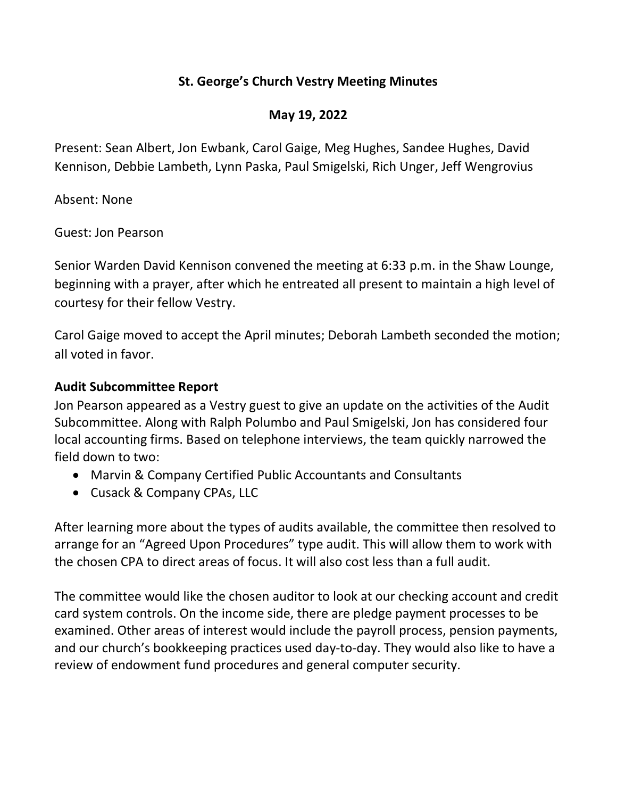# St. George's Church Vestry Meeting Minutes

# May 19, 2022

Present: Sean Albert, Jon Ewbank, Carol Gaige, Meg Hughes, Sandee Hughes, David Kennison, Debbie Lambeth, Lynn Paska, Paul Smigelski, Rich Unger, Jeff Wengrovius

Absent: None

Guest: Jon Pearson

Senior Warden David Kennison convened the meeting at 6:33 p.m. in the Shaw Lounge, beginning with a prayer, after which he entreated all present to maintain a high level of courtesy for their fellow Vestry.

Carol Gaige moved to accept the April minutes; Deborah Lambeth seconded the motion; all voted in favor.

# Audit Subcommittee Report

Jon Pearson appeared as a Vestry guest to give an update on the activities of the Audit Subcommittee. Along with Ralph Polumbo and Paul Smigelski, Jon has considered four local accounting firms. Based on telephone interviews, the team quickly narrowed the field down to two:

- Marvin & Company Certified Public Accountants and Consultants
- Cusack & Company CPAs, LLC

After learning more about the types of audits available, the committee then resolved to arrange for an "Agreed Upon Procedures" type audit. This will allow them to work with the chosen CPA to direct areas of focus. It will also cost less than a full audit.

The committee would like the chosen auditor to look at our checking account and credit card system controls. On the income side, there are pledge payment processes to be examined. Other areas of interest would include the payroll process, pension payments, and our church's bookkeeping practices used day-to-day. They would also like to have a review of endowment fund procedures and general computer security.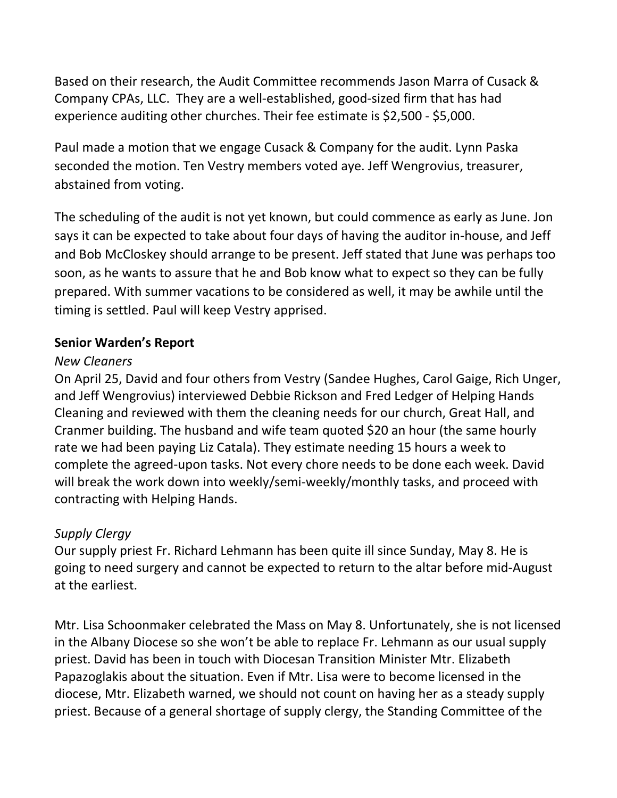Based on their research, the Audit Committee recommends Jason Marra of Cusack & Company CPAs, LLC. They are a well-established, good-sized firm that has had experience auditing other churches. Their fee estimate is \$2,500 - \$5,000.

Paul made a motion that we engage Cusack & Company for the audit. Lynn Paska seconded the motion. Ten Vestry members voted aye. Jeff Wengrovius, treasurer, abstained from voting.

The scheduling of the audit is not yet known, but could commence as early as June. Jon says it can be expected to take about four days of having the auditor in-house, and Jeff and Bob McCloskey should arrange to be present. Jeff stated that June was perhaps too soon, as he wants to assure that he and Bob know what to expect so they can be fully prepared. With summer vacations to be considered as well, it may be awhile until the timing is settled. Paul will keep Vestry apprised.

## Senior Warden's Report

## New Cleaners

On April 25, David and four others from Vestry (Sandee Hughes, Carol Gaige, Rich Unger, and Jeff Wengrovius) interviewed Debbie Rickson and Fred Ledger of Helping Hands Cleaning and reviewed with them the cleaning needs for our church, Great Hall, and Cranmer building. The husband and wife team quoted \$20 an hour (the same hourly rate we had been paying Liz Catala). They estimate needing 15 hours a week to complete the agreed-upon tasks. Not every chore needs to be done each week. David will break the work down into weekly/semi-weekly/monthly tasks, and proceed with contracting with Helping Hands.

# Supply Clergy

Our supply priest Fr. Richard Lehmann has been quite ill since Sunday, May 8. He is going to need surgery and cannot be expected to return to the altar before mid-August at the earliest.

Mtr. Lisa Schoonmaker celebrated the Mass on May 8. Unfortunately, she is not licensed in the Albany Diocese so she won't be able to replace Fr. Lehmann as our usual supply priest. David has been in touch with Diocesan Transition Minister Mtr. Elizabeth Papazoglakis about the situation. Even if Mtr. Lisa were to become licensed in the diocese, Mtr. Elizabeth warned, we should not count on having her as a steady supply priest. Because of a general shortage of supply clergy, the Standing Committee of the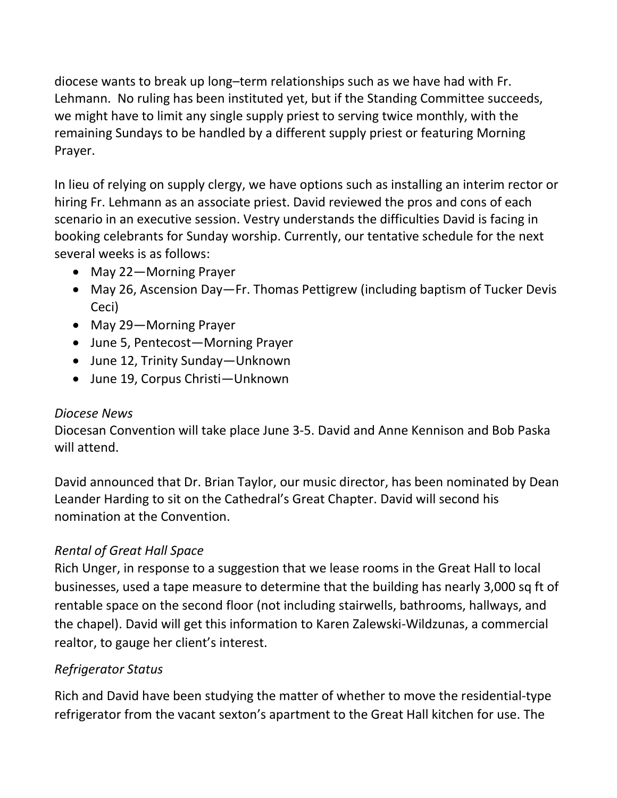diocese wants to break up long–term relationships such as we have had with Fr. Lehmann. No ruling has been instituted yet, but if the Standing Committee succeeds, we might have to limit any single supply priest to serving twice monthly, with the remaining Sundays to be handled by a different supply priest or featuring Morning Prayer.

In lieu of relying on supply clergy, we have options such as installing an interim rector or hiring Fr. Lehmann as an associate priest. David reviewed the pros and cons of each scenario in an executive session. Vestry understands the difficulties David is facing in booking celebrants for Sunday worship. Currently, our tentative schedule for the next several weeks is as follows:

- May 22-Morning Prayer
- May 26, Ascension Day—Fr. Thomas Pettigrew (including baptism of Tucker Devis Ceci)
- May 29-Morning Prayer
- June 5, Pentecost—Morning Prayer
- June 12, Trinity Sunday—Unknown
- June 19, Corpus Christi—Unknown

# Diocese News

Diocesan Convention will take place June 3-5. David and Anne Kennison and Bob Paska will attend.

David announced that Dr. Brian Taylor, our music director, has been nominated by Dean Leander Harding to sit on the Cathedral's Great Chapter. David will second his nomination at the Convention.

# Rental of Great Hall Space

Rich Unger, in response to a suggestion that we lease rooms in the Great Hall to local businesses, used a tape measure to determine that the building has nearly 3,000 sq ft of rentable space on the second floor (not including stairwells, bathrooms, hallways, and the chapel). David will get this information to Karen Zalewski-Wildzunas, a commercial realtor, to gauge her client's interest.

# Refrigerator Status

Rich and David have been studying the matter of whether to move the residential-type refrigerator from the vacant sexton's apartment to the Great Hall kitchen for use. The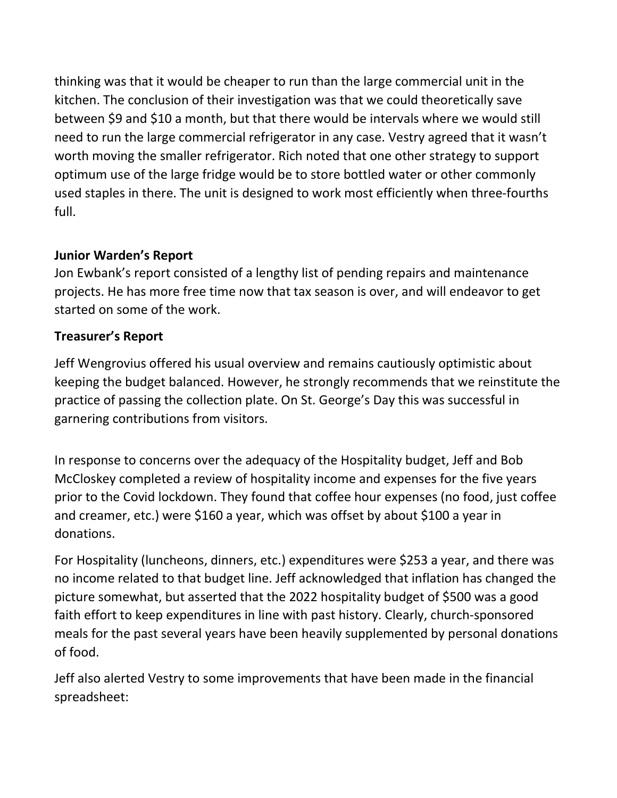thinking was that it would be cheaper to run than the large commercial unit in the kitchen. The conclusion of their investigation was that we could theoretically save between \$9 and \$10 a month, but that there would be intervals where we would still need to run the large commercial refrigerator in any case. Vestry agreed that it wasn't worth moving the smaller refrigerator. Rich noted that one other strategy to support optimum use of the large fridge would be to store bottled water or other commonly used staples in there. The unit is designed to work most efficiently when three-fourths full.

# Junior Warden's Report

Jon Ewbank's report consisted of a lengthy list of pending repairs and maintenance projects. He has more free time now that tax season is over, and will endeavor to get started on some of the work.

# Treasurer's Report

Jeff Wengrovius offered his usual overview and remains cautiously optimistic about keeping the budget balanced. However, he strongly recommends that we reinstitute the practice of passing the collection plate. On St. George's Day this was successful in garnering contributions from visitors.

In response to concerns over the adequacy of the Hospitality budget, Jeff and Bob McCloskey completed a review of hospitality income and expenses for the five years prior to the Covid lockdown. They found that coffee hour expenses (no food, just coffee and creamer, etc.) were \$160 a year, which was offset by about \$100 a year in donations.

For Hospitality (luncheons, dinners, etc.) expenditures were \$253 a year, and there was no income related to that budget line. Jeff acknowledged that inflation has changed the picture somewhat, but asserted that the 2022 hospitality budget of \$500 was a good faith effort to keep expenditures in line with past history. Clearly, church-sponsored meals for the past several years have been heavily supplemented by personal donations of food.

Jeff also alerted Vestry to some improvements that have been made in the financial spreadsheet: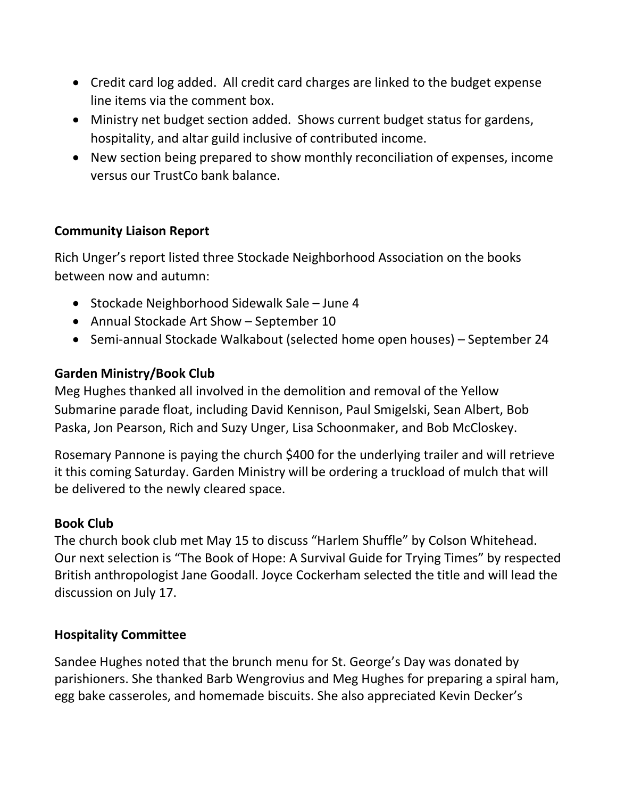- Credit card log added. All credit card charges are linked to the budget expense line items via the comment box.
- Ministry net budget section added. Shows current budget status for gardens, hospitality, and altar guild inclusive of contributed income.
- New section being prepared to show monthly reconciliation of expenses, income versus our TrustCo bank balance.

# Community Liaison Report

Rich Unger's report listed three Stockade Neighborhood Association on the books between now and autumn:

- Stockade Neighborhood Sidewalk Sale June 4
- Annual Stockade Art Show September 10
- Semi-annual Stockade Walkabout (selected home open houses) September 24

# Garden Ministry/Book Club

Meg Hughes thanked all involved in the demolition and removal of the Yellow Submarine parade float, including David Kennison, Paul Smigelski, Sean Albert, Bob Paska, Jon Pearson, Rich and Suzy Unger, Lisa Schoonmaker, and Bob McCloskey.

Rosemary Pannone is paying the church \$400 for the underlying trailer and will retrieve it this coming Saturday. Garden Ministry will be ordering a truckload of mulch that will be delivered to the newly cleared space.

## Book Club

The church book club met May 15 to discuss "Harlem Shuffle" by Colson Whitehead. Our next selection is "The Book of Hope: A Survival Guide for Trying Times" by respected British anthropologist Jane Goodall. Joyce Cockerham selected the title and will lead the discussion on July 17.

## Hospitality Committee

Sandee Hughes noted that the brunch menu for St. George's Day was donated by parishioners. She thanked Barb Wengrovius and Meg Hughes for preparing a spiral ham, egg bake casseroles, and homemade biscuits. She also appreciated Kevin Decker's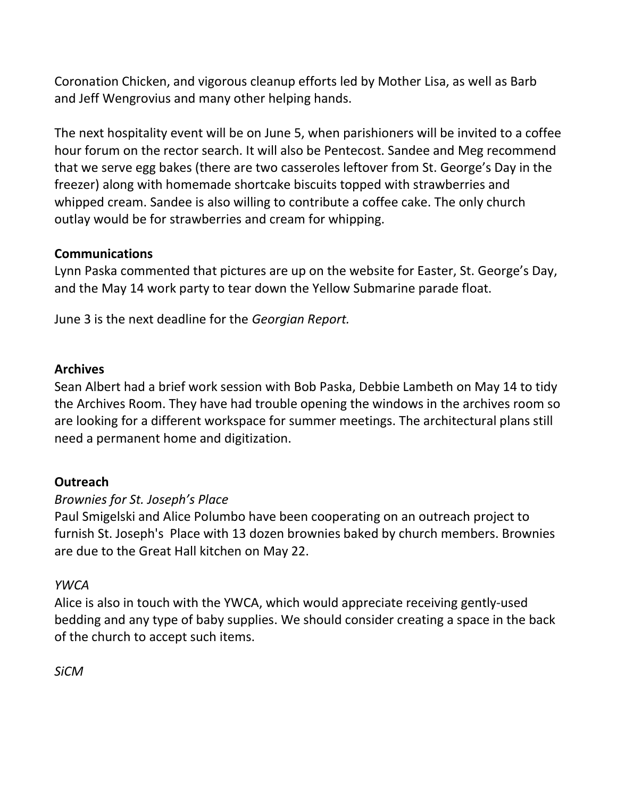Coronation Chicken, and vigorous cleanup efforts led by Mother Lisa, as well as Barb and Jeff Wengrovius and many other helping hands.

The next hospitality event will be on June 5, when parishioners will be invited to a coffee hour forum on the rector search. It will also be Pentecost. Sandee and Meg recommend that we serve egg bakes (there are two casseroles leftover from St. George's Day in the freezer) along with homemade shortcake biscuits topped with strawberries and whipped cream. Sandee is also willing to contribute a coffee cake. The only church outlay would be for strawberries and cream for whipping.

## Communications

Lynn Paska commented that pictures are up on the website for Easter, St. George's Day, and the May 14 work party to tear down the Yellow Submarine parade float.

June 3 is the next deadline for the Georgian Report.

## Archives

Sean Albert had a brief work session with Bob Paska, Debbie Lambeth on May 14 to tidy the Archives Room. They have had trouble opening the windows in the archives room so are looking for a different workspace for summer meetings. The architectural plans still need a permanent home and digitization.

# **Outreach**

## Brownies for St. Joseph's Place

Paul Smigelski and Alice Polumbo have been cooperating on an outreach project to furnish St. Joseph's Place with 13 dozen brownies baked by church members. Brownies are due to the Great Hall kitchen on May 22.

## YWCA

Alice is also in touch with the YWCA, which would appreciate receiving gently-used bedding and any type of baby supplies. We should consider creating a space in the back of the church to accept such items.

**SiCM**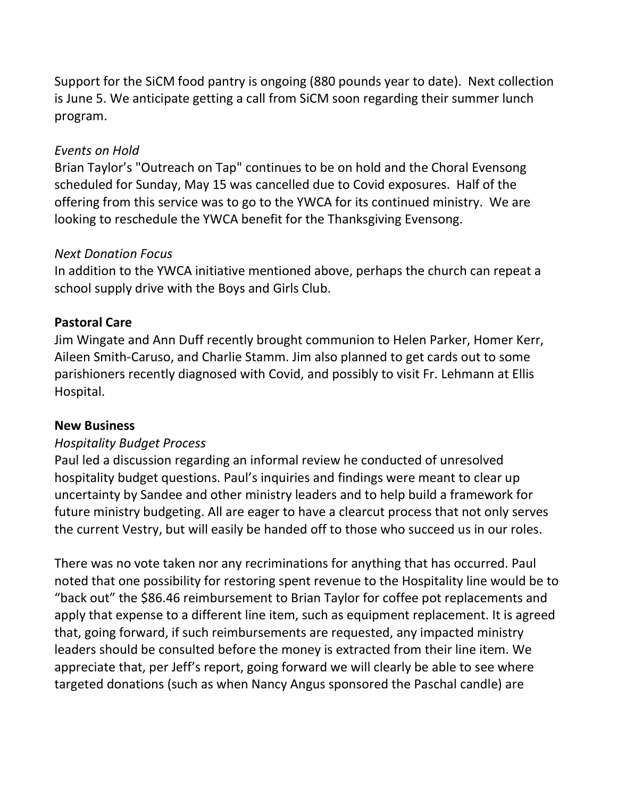Support for the SiCM food pantry is ongoing (880 pounds year to date). Next collection is June 5. We anticipate getting a call from SiCM soon regarding their summer lunch program.

## Events on Hold

Brian Taylor's "Outreach on Tap" continues to be on hold and the Choral Evensong scheduled for Sunday, May 15 was cancelled due to Covid exposures. Half of the offering from this service was to go to the YWCA for its continued ministry. We are looking to reschedule the YWCA benefit for the Thanksgiving Evensong.

## Next Donation Focus

In addition to the YWCA initiative mentioned above, perhaps the church can repeat a school supply drive with the Boys and Girls Club.

## Pastoral Care

Jim Wingate and Ann Duff recently brought communion to Helen Parker, Homer Kerr, Aileen Smith-Caruso, and Charlie Stamm. Jim also planned to get cards out to some parishioners recently diagnosed with Covid, and possibly to visit Fr. Lehmann at Ellis Hospital.

## New Business

# Hospitality Budget Process

Paul led a discussion regarding an informal review he conducted of unresolved hospitality budget questions. Paul's inquiries and findings were meant to clear up uncertainty by Sandee and other ministry leaders and to help build a framework for future ministry budgeting. All are eager to have a clearcut process that not only serves the current Vestry, but will easily be handed off to those who succeed us in our roles.

There was no vote taken nor any recriminations for anything that has occurred. Paul noted that one possibility for restoring spent revenue to the Hospitality line would be to "back out" the \$86.46 reimbursement to Brian Taylor for coffee pot replacements and apply that expense to a different line item, such as equipment replacement. It is agreed that, going forward, if such reimbursements are requested, any impacted ministry leaders should be consulted before the money is extracted from their line item. We appreciate that, per Jeff's report, going forward we will clearly be able to see where targeted donations (such as when Nancy Angus sponsored the Paschal candle) are